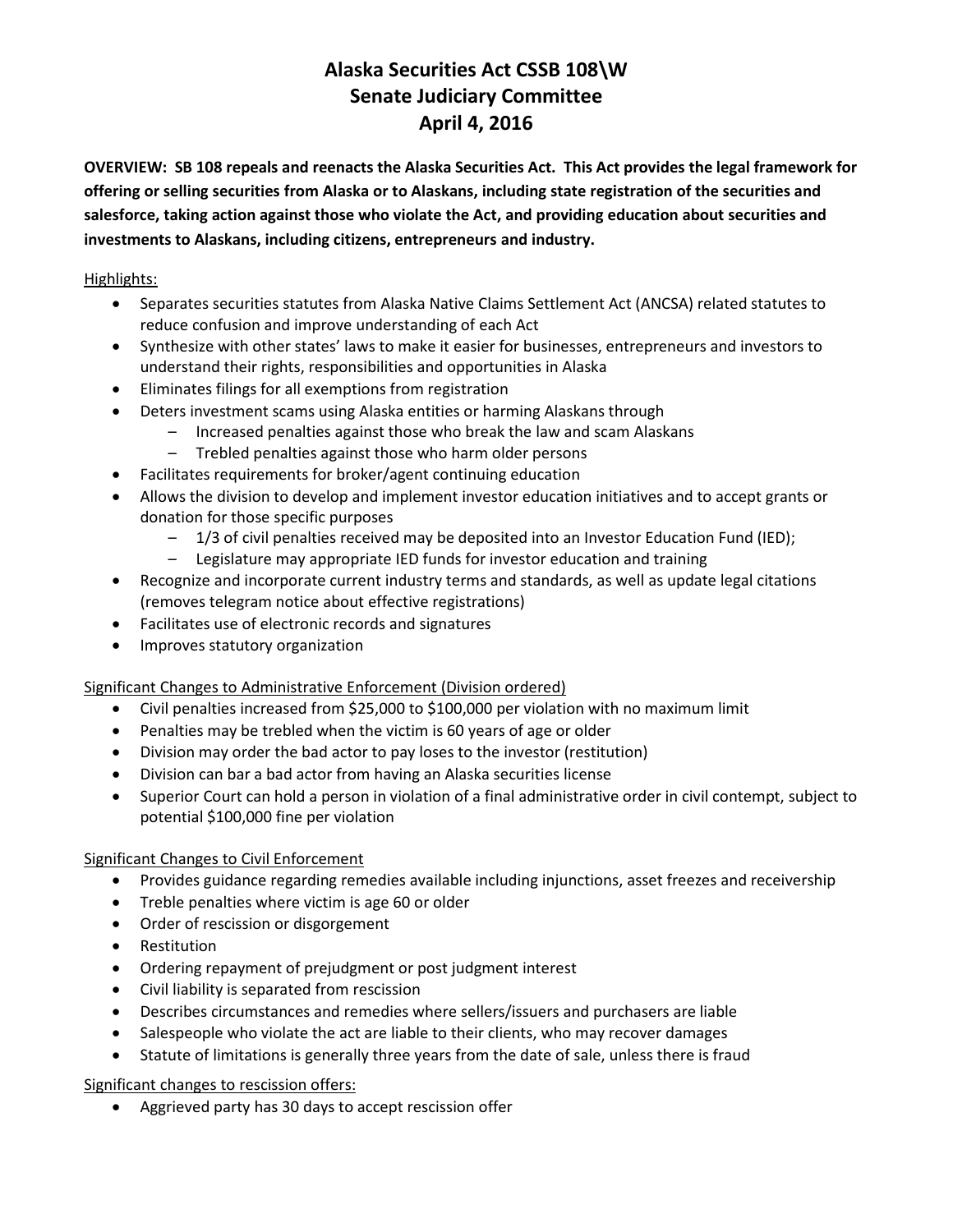# **Alaska Securities Act CSSB 108\W Senate Judiciary Committee April 4, 2016**

**OVERVIEW: SB 108 repeals and reenacts the Alaska Securities Act. This Act provides the legal framework for offering or selling securities from Alaska or to Alaskans, including state registration of the securities and salesforce, taking action against those who violate the Act, and providing education about securities and investments to Alaskans, including citizens, entrepreneurs and industry.**

Highlights:

- Separates securities statutes from Alaska Native Claims Settlement Act (ANCSA) related statutes to reduce confusion and improve understanding of each Act
- Synthesize with other states' laws to make it easier for businesses, entrepreneurs and investors to understand their rights, responsibilities and opportunities in Alaska
- Eliminates filings for all exemptions from registration
- Deters investment scams using Alaska entities or harming Alaskans through
	- Increased penalties against those who break the law and scam Alaskans
	- Trebled penalties against those who harm older persons
- Facilitates requirements for broker/agent continuing education
- Allows the division to develop and implement investor education initiatives and to accept grants or donation for those specific purposes
	- 1/3 of civil penalties received may be deposited into an Investor Education Fund (IED);
	- Legislature may appropriate IED funds for investor education and training
- Recognize and incorporate current industry terms and standards, as well as update legal citations (removes telegram notice about effective registrations)
- Facilitates use of electronic records and signatures
- **•** Improves statutory organization

Significant Changes to Administrative Enforcement (Division ordered)

- Civil penalties increased from \$25,000 to \$100,000 per violation with no maximum limit
- Penalties may be trebled when the victim is 60 years of age or older
- Division may order the bad actor to pay loses to the investor (restitution)
- Division can bar a bad actor from having an Alaska securities license
- Superior Court can hold a person in violation of a final administrative order in civil contempt, subject to potential \$100,000 fine per violation

## Significant Changes to Civil Enforcement

- Provides guidance regarding remedies available including injunctions, asset freezes and receivership
- Treble penalties where victim is age 60 or older
- Order of rescission or disgorgement
- Restitution
- Ordering repayment of prejudgment or post judgment interest
- Civil liability is separated from rescission
- Describes circumstances and remedies where sellers/issuers and purchasers are liable
- Salespeople who violate the act are liable to their clients, who may recover damages
- Statute of limitations is generally three years from the date of sale, unless there is fraud

Significant changes to rescission offers:

Aggrieved party has 30 days to accept rescission offer